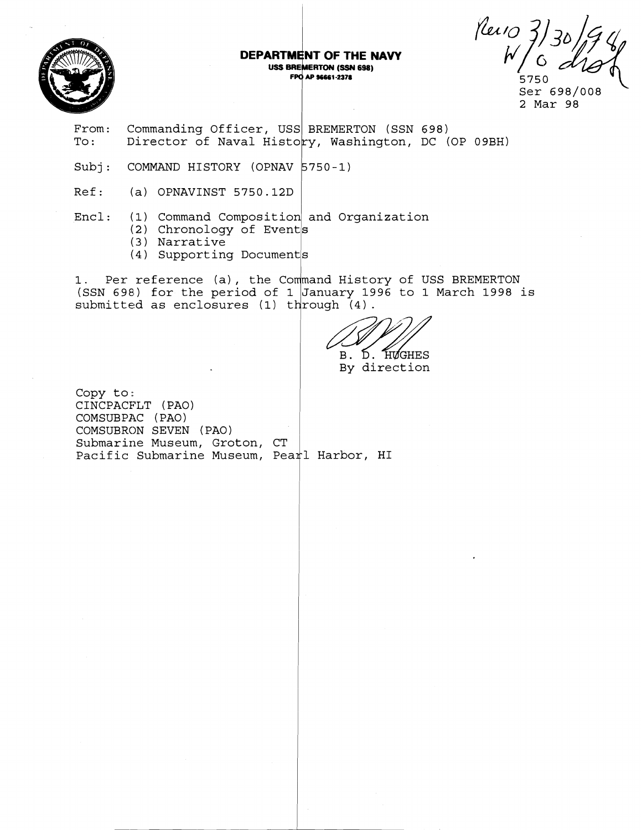

## DEPARTMENT OF THE NAVY USS BREMERTON (SSN 698) FPO AP 96661-2378

Revio

Ser 698/008 2 Mar 98

- From: Commanding Officer, USS BREMERTON (SSN 698)<br>To: Director of Naval History, Washington, DC ( Director of Naval History, Washington, DC (OP 09BH)
- Subj: COMMAND HISTORY (OPNAV 5750-1)
- Ref: (a) OPNAVINST 5750.12D

 $\texttt{Encl}:\quad$  (1) Command Composition and Organization

- (2) Chronology of Events
- ( 3 ) Narrative
- (4) Supporting Documents

1. Per reference (a), the Command History of USS BREMERTON (SSN 698) for the period of 1 January 1996 to **1** March 1998 is submitted as enclosures (1) th

B. D. HUGHES By direction

Copy to: CINCPACFLT (PAO) COMSUBPAC (PAO) COMSUBRON SEVEN ( PAO) Submarine Museum, Groton, CT Pacific Submarine Museum, Pearl Harbor, HI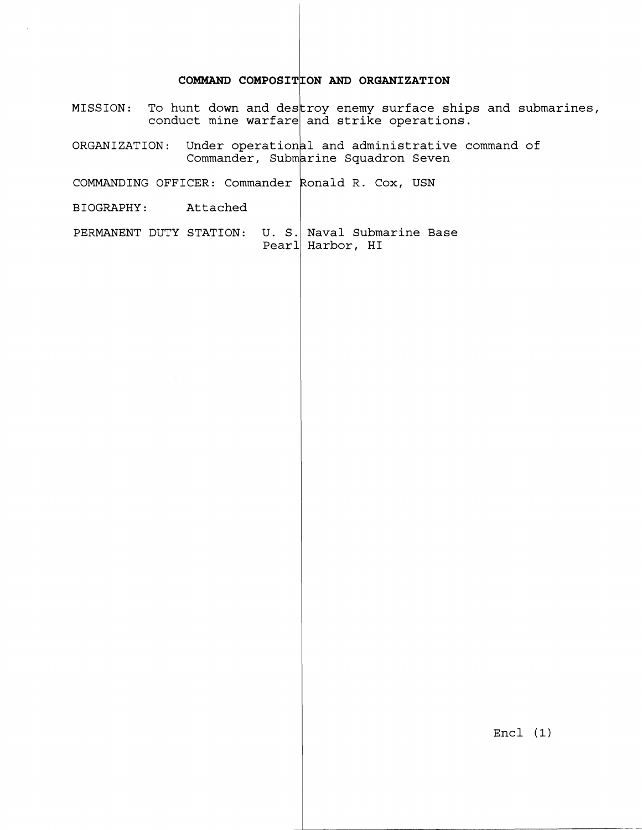## **COMMAND COMPOSII ON AND ORGANIZATION**

MISSION: To hunt down and des conduct mine warfare $\mid$ roy enemy surface ships and submarines, and strike operations.

ORGANIZATION: Under operationa Commander, Subm<mark>a</mark> 1 and administrative command of rine Squadron Seven

COMMANDING OFFICER: Commander  $\,$  Ronald R. Cox, USN  $\,$ 

BIOGRAPHY : Attached

PERMANENT DUTY STATION: U. S. Naval Submarine Base Pearl Harbor, HI

Encl (1)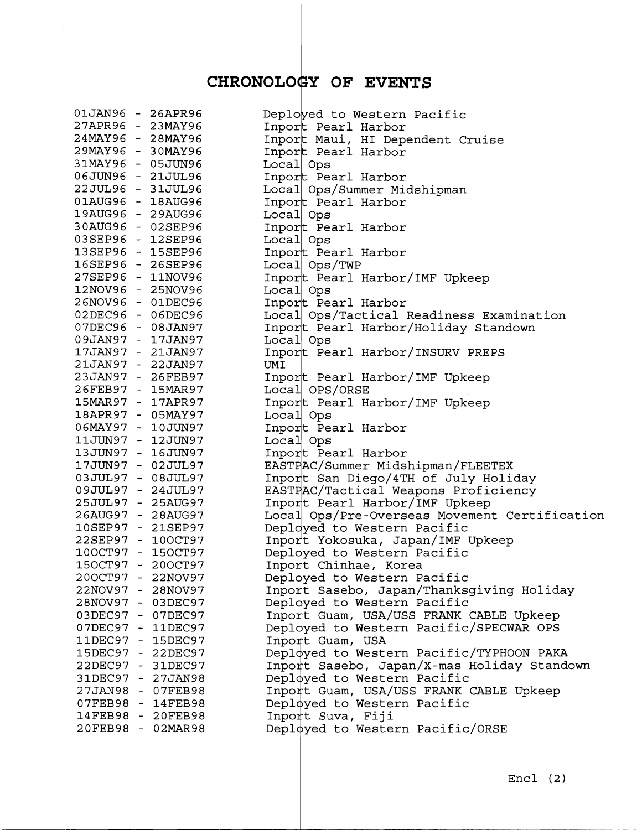## CHRONOLOGY OF EVENTS

 $\sim$ 

| 01JAN96 - 26APR96 |                                        | Deployed to Western Pacific                   |
|-------------------|----------------------------------------|-----------------------------------------------|
| 27APR96 - 23MAY96 |                                        | Inport Pearl Harbor                           |
| 24MAY96 - 28MAY96 |                                        | Inport Maui, HI Dependent Cruise              |
| 29MAY96 - 30MAY96 |                                        | Inport Pearl Harbor                           |
| 31MAY96 - 05JUN96 |                                        | Local Ops                                     |
| 06JUN96 - 21JUL96 |                                        | Inport Pearl Harbor                           |
| 22JUL96 - 31JUL96 |                                        | Local Ops/Summer Midshipman                   |
| 01AUG96 - 18AUG96 |                                        | Inport Pearl Harbor                           |
| 19AUG96 - 29AUG96 |                                        | Local Ops                                     |
| 30AUG96 - 02SEP96 |                                        | Inport Pearl Harbor                           |
| 03SEP96 - 12SEP96 |                                        | Local Ops                                     |
| 13SEP96 - 15SEP96 |                                        | Inport Pearl Harbor                           |
| 16SEP96 - 26SEP96 |                                        | Local Ops/TWP                                 |
| 27SEP96 - 11NOV96 |                                        | Inport Pearl Harbor/IMF Upkeep                |
| 12NOV96 - 25NOV96 |                                        | Local Ops                                     |
| 26NOV96 - 01DEC96 |                                        | Inport Pearl Harbor                           |
| 02DEC96 - 06DEC96 |                                        | Local Ops/Tactical Readiness Examination      |
| 07DEC96 - 08JAN97 |                                        | Inport Pearl Harbor/Holiday Standown          |
| 09JAN97 - 17JAN97 |                                        | Local Ops                                     |
| 17JAN97 - 21JAN97 |                                        | Inport Pearl Harbor/INSURV PREPS              |
| 21JAN97 - 22JAN97 |                                        | UMI                                           |
| 23JAN97 - 26FEB97 |                                        | Inport Pearl Harbor/IMF Upkeep                |
| 26FEB97 - 15MAR97 |                                        | Local OPS/ORSE                                |
| 15MAR97 - 17APR97 |                                        | Inport Pearl Harbor/IMF Upkeep                |
| 18APR97 - 05MAY97 |                                        | Local Ops                                     |
| 06MAY97 - 10JUN97 |                                        | Inport Pearl Harbor                           |
| 11JUN97 - 12JUN97 |                                        | Local Ops                                     |
| 13JUN97 - 16JUN97 |                                        | Inport Pearl Harbor                           |
| 17JUN97 - 02JUL97 |                                        | EASTPAC/Summer Midshipman/FLEETEX             |
| 03JUL97 - 08JUL97 |                                        | Inport San Diego/4TH of July Holiday          |
| 09JUL97 - 24JUL97 |                                        | EASTFAC/Tactical Weapons Proficiency          |
| 25JUL97 - 25AUG97 |                                        | Inport Pearl Harbor/IMF Upkeep                |
| 26AUG97 - 28AUG97 |                                        | Local Ops/Pre-Overseas Movement Certification |
| 10SEP97 - 21SEP97 |                                        | Deployed to Western Pacific                   |
| 22SEP97 - 10OCT97 |                                        | Inport Yokosuka, Japan/IMF Upkeep             |
| 100CT97 - 150CT97 |                                        | Deployed to Western Pacific                   |
| 150CT97 - 200CT97 |                                        | Inport Chinhae, Korea                         |
| 200CT97 -         | 22NOV97                                | Deployed to Western Pacific                   |
| 22NOV97 - 28NOV97 |                                        | Inport Sasebo, Japan/Thanksgiving Holiday     |
| 28NOV97 - 03DEC97 |                                        | Deployed to Western Pacific                   |
| 03DEC97 - 07DEC97 |                                        | Inport Guam, USA/USS FRANK CABLE Upkeep       |
| 07DEC97 - 11DEC97 |                                        | Deployed to Western Pacific/SPECWAR OPS       |
|                   |                                        |                                               |
|                   | 11DEC97 - 15DEC97<br>15DEC97 - 22DEC97 | Inport Guam, USA                              |
|                   |                                        | Deployed to Western Pacific/TYPHOON PAKA      |
|                   | 22DEC97 - 31DEC97                      | Inport Sasebo, Japan/X-mas Holiday Standown   |
| 31DEC97 - 27JAN98 |                                        | Deployed to Western Pacific                   |
|                   | 27JAN98 - 07FEB98                      | Inport Guam, USA/USS FRANK CABLE Upkeep       |
|                   | 07FEB98 - 14FEB98                      | Deployed to Western Pacific                   |
|                   | 14FEB98 - 20FEB98                      | Inport Suva, Fiji                             |
|                   | 20FEB98 - 02MAR98                      | Deployed to Western Pacific/ORSE              |
|                   |                                        |                                               |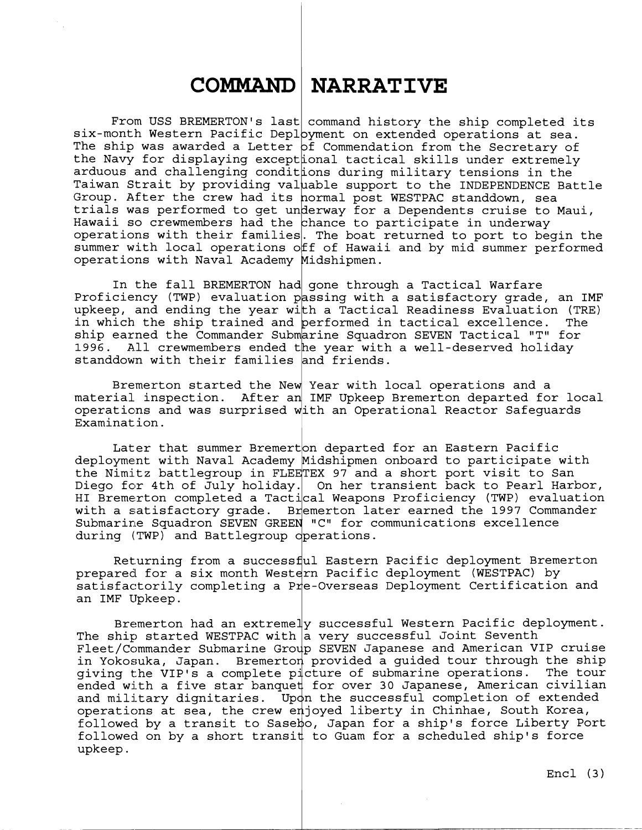## **COMMAND NARRATIVE**

From USS BREMERTON's last command history the ship completed its  $\texttt{six-month Western Pacific Depth}$ yment on extended operations at sea. The ship was awarded a Letter  $\overline{\sf pf}$  Commendation from the Secretary of the Navy for displaying excepttonal tactical skills under extremely arduous and challenging condittons during military tensions in the Taiwan Strait by providing valuable support to the INDEPENDENCE Battle Group. After the crew had its normal post WESTPAC standdown, sea trials was performed to get underway for a Dependents cruise to Maui, Hawaii so crewmembers had the chance to participate in underway operations with their families. The boat returned to port to begin the summer with local operations off of Hawaii and by mid summer performed operations with Naval Academy Yidshipmen.

In the fall BREMERTON had gone through a Tactical Warfare Proficiency (TWP) evaluation passing with a satisfactory grade, an IMF upkeep, and ending the year with a Tactical Readiness Evaluation (TRE) in which the ship trained and performed in tactical excellence. The ship earned the Commander Submarine Squadron SEVEN Tactical "T" for 1996. All crewmembers ended the year with a well-deserved holiday standdown with their families and friends.

Bremerton started the New Year with local operations and a material inspection. After an IMF Upkeep Bremerton departed for local matcriar inspection. After an inf opkeep Bremerich departed for focal proportions and was surprised with an Operational Reactor Safeguards Examination.

Later that summer Bremerton departed for an Eastern Pacific deployment with Naval Academy Midshipmen onboard to participate with the Nimitz battlegroup in FLEETEX 97 and a short port visit to San Diego for 4th of July holiday. On her transient back to Pearl Harbor, HI Bremerton completed a Tactical Weapons Proficiency (TWP) evaluation with a satisfactory grade. Bremerton later earned the 1997 Commander Submarine Squadron SEVEN GREEN "C" for communications excellence during (TWP) and Battlegroup operations.

Returning from a successful Eastern Pacific deployment Bremerton prepared for a six month Western Pacific deployment (WESTPAC) by  ${\tt satisfactorily}$  completing a P ${\tt r}$ e-Overseas Deployment Certification and Returning from a successful E<br>prepared for a six month Western P<br>satisfactorily completing a Pre-Ov<br>an IMF Upkeep.<br>Bremerton had an extremely su

Bremerton had an extreme $\ket{\!\!|}$  successful Western Pacific deployment. The ship started WESTPAC with  $\bar{\textsf{a}}$  very successful Joint Seventh Fleet/Commander Submarine Group SEVEN Japanese and American VIP cruise in Yokosuka, Japan. Bremerton provided a guided tour through the ship giving the VIP's a complete picture of submarine operations. The tour  $\overline{\texttt{ended}}$  with a five star banque $\sharp$  for over 30 Japanese, American civilian and military dignitaries. Up $\phi$ n the successful completion of extended operations at sea, the crew enjoyed liberty in Chinhae, South Korea,  $\,$ followed by a transit to Sasek)o, Japan for a ship's force Liberty Port followed on by a short transi $\sharp$  to Guam for a scheduled ship's force upkeep.

~ Encl **(3)**